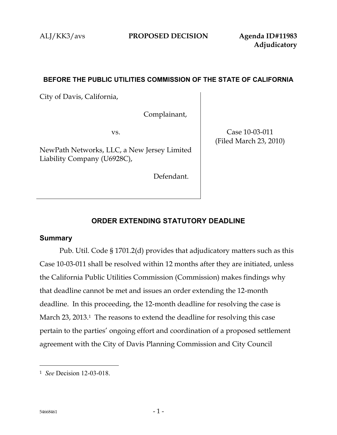### **BEFORE THE PUBLIC UTILITIES COMMISSION OF THE STATE OF CALIFORNIA**

City of Davis, California,

Complainant,

vs.

NewPath Networks, LLC, a New Jersey Limited Liability Company (U6928C),

Defendant.

Case 10-03-011 (Filed March 23, 2010)

## **ORDER EXTENDING STATUTORY DEADLINE**

#### **Summary**

Pub. Util. Code § 1701.2(d) provides that adjudicatory matters such as this Case 10-03-011 shall be resolved within 12 months after they are initiated, unless the California Public Utilities Commission (Commission) makes findings why that deadline cannot be met and issues an order extending the 12-month deadline. In this proceeding, the 12-month deadline for resolving the case is March 23, 2013. <sup>1</sup> The reasons to extend the deadline for resolving this case pertain to the parties' ongoing effort and coordination of a proposed settlement agreement with the City of Davis Planning Commission and City Council

 $\overline{a}$ 

<sup>1</sup> *See* Decision 12-03-018.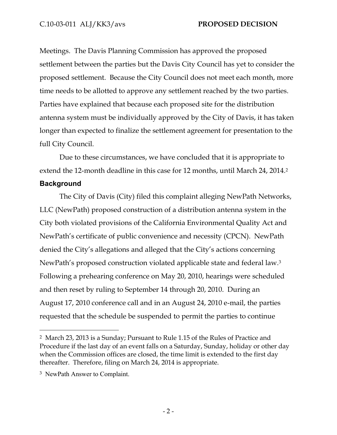Meetings. The Davis Planning Commission has approved the proposed settlement between the parties but the Davis City Council has yet to consider the proposed settlement. Because the City Council does not meet each month, more time needs to be allotted to approve any settlement reached by the two parties. Parties have explained that because each proposed site for the distribution antenna system must be individually approved by the City of Davis, it has taken longer than expected to finalize the settlement agreement for presentation to the full City Council.

Due to these circumstances, we have concluded that it is appropriate to extend the 12-month deadline in this case for 12 months, until March 24, 2014. 2

### **Background**

 $\overline{a}$ 

The City of Davis (City) filed this complaint alleging NewPath Networks, LLC (NewPath) proposed construction of a distribution antenna system in the City both violated provisions of the California Environmental Quality Act and NewPath's certificate of public convenience and necessity (CPCN). NewPath denied the City's allegations and alleged that the City's actions concerning NewPath's proposed construction violated applicable state and federal law.<sup>3</sup> Following a prehearing conference on May 20, 2010, hearings were scheduled and then reset by ruling to September 14 through 20, 2010. During an August 17, 2010 conference call and in an August 24, 2010 e-mail, the parties requested that the schedule be suspended to permit the parties to continue

<sup>2</sup> March 23, 2013 is a Sunday; Pursuant to Rule 1.15 of the Rules of Practice and Procedure if the last day of an event falls on a Saturday, Sunday, holiday or other day when the Commission offices are closed, the time limit is extended to the first day thereafter. Therefore, filing on March 24, 2014 is appropriate.

<sup>3</sup> NewPath Answer to Complaint.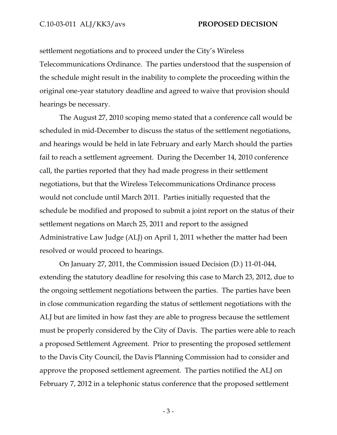settlement negotiations and to proceed under the City's Wireless Telecommunications Ordinance. The parties understood that the suspension of the schedule might result in the inability to complete the proceeding within the original one-year statutory deadline and agreed to waive that provision should hearings be necessary.

The August 27, 2010 scoping memo stated that a conference call would be scheduled in mid-December to discuss the status of the settlement negotiations, and hearings would be held in late February and early March should the parties fail to reach a settlement agreement. During the December 14, 2010 conference call, the parties reported that they had made progress in their settlement negotiations, but that the Wireless Telecommunications Ordinance process would not conclude until March 2011. Parties initially requested that the schedule be modified and proposed to submit a joint report on the status of their settlement negations on March 25, 2011 and report to the assigned Administrative Law Judge (ALJ) on April 1, 2011 whether the matter had been resolved or would proceed to hearings.

On January 27, 2011, the Commission issued Decision (D.) 11-01-044, extending the statutory deadline for resolving this case to March 23, 2012, due to the ongoing settlement negotiations between the parties. The parties have been in close communication regarding the status of settlement negotiations with the ALJ but are limited in how fast they are able to progress because the settlement must be properly considered by the City of Davis. The parties were able to reach a proposed Settlement Agreement. Prior to presenting the proposed settlement to the Davis City Council, the Davis Planning Commission had to consider and approve the proposed settlement agreement. The parties notified the ALJ on February 7, 2012 in a telephonic status conference that the proposed settlement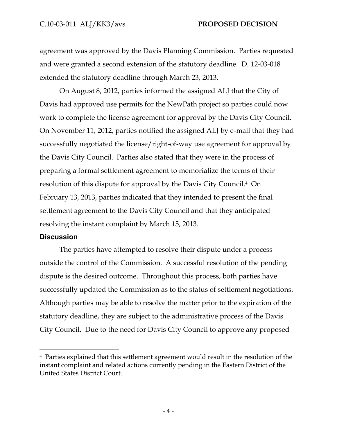agreement was approved by the Davis Planning Commission. Parties requested and were granted a second extension of the statutory deadline. D. 12-03-018 extended the statutory deadline through March 23, 2013.

On August 8, 2012, parties informed the assigned ALJ that the City of Davis had approved use permits for the NewPath project so parties could now work to complete the license agreement for approval by the Davis City Council. On November 11, 2012, parties notified the assigned ALJ by e-mail that they had successfully negotiated the license/right-of-way use agreement for approval by the Davis City Council. Parties also stated that they were in the process of preparing a formal settlement agreement to memorialize the terms of their resolution of this dispute for approval by the Davis City Council.4 On February 13, 2013, parties indicated that they intended to present the final settlement agreement to the Davis City Council and that they anticipated resolving the instant complaint by March 15, 2013.

#### **Discussion**

 $\overline{a}$ 

The parties have attempted to resolve their dispute under a process outside the control of the Commission. A successful resolution of the pending dispute is the desired outcome. Throughout this process, both parties have successfully updated the Commission as to the status of settlement negotiations. Although parties may be able to resolve the matter prior to the expiration of the statutory deadline, they are subject to the administrative process of the Davis City Council. Due to the need for Davis City Council to approve any proposed

<sup>4</sup> Parties explained that this settlement agreement would result in the resolution of the instant complaint and related actions currently pending in the Eastern District of the United States District Court.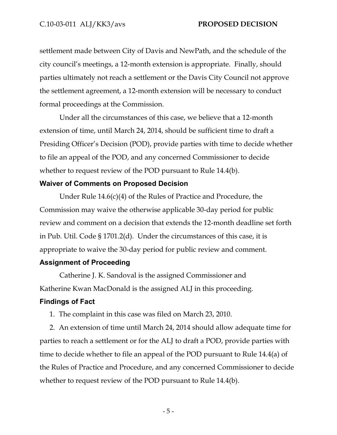settlement made between City of Davis and NewPath, and the schedule of the city council's meetings, a 12-month extension is appropriate. Finally, should parties ultimately not reach a settlement or the Davis City Council not approve the settlement agreement, a 12-month extension will be necessary to conduct formal proceedings at the Commission.

Under all the circumstances of this case, we believe that a 12-month extension of time, until March 24, 2014, should be sufficient time to draft a Presiding Officer's Decision (POD), provide parties with time to decide whether to file an appeal of the POD, and any concerned Commissioner to decide whether to request review of the POD pursuant to Rule 14.4(b).

#### **Waiver of Comments on Proposed Decision**

Under Rule 14.6(c)(4) of the Rules of Practice and Procedure, the Commission may waive the otherwise applicable 30-day period for public review and comment on a decision that extends the 12-month deadline set forth in Pub. Util. Code § 1701.2(d). Under the circumstances of this case, it is appropriate to waive the 30-day period for public review and comment.

#### **Assignment of Proceeding**

Catherine J. K. Sandoval is the assigned Commissioner and Katherine Kwan MacDonald is the assigned ALJ in this proceeding.

#### **Findings of Fact**

1. The complaint in this case was filed on March 23, 2010.

2. An extension of time until March 24, 2014 should allow adequate time for parties to reach a settlement or for the ALJ to draft a POD, provide parties with time to decide whether to file an appeal of the POD pursuant to Rule 14.4(a) of the Rules of Practice and Procedure, and any concerned Commissioner to decide whether to request review of the POD pursuant to Rule 14.4(b).